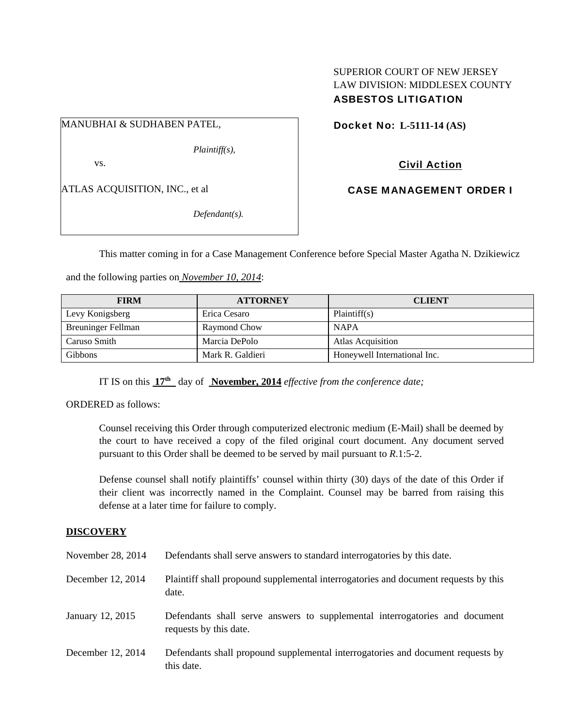# SUPERIOR COURT OF NEW JERSEY LAW DIVISION: MIDDLESEX COUNTY ASBESTOS LITIGATION

MANUBHAI & SUDHABEN PATEL,

*Plaintiff(s),* 

vs.

ATLAS ACQUISITION, INC., et al

*Defendant(s).* 

Docket No: **L-5111-14 (AS)** 

Civil Action

CASE MANAGEMENT ORDER I

This matter coming in for a Case Management Conference before Special Master Agatha N. Dzikiewicz

and the following parties on *November 10, 2014*:

| <b>FIRM</b>        | <b>ATTORNEY</b>  | <b>CLIENT</b>                |
|--------------------|------------------|------------------------------|
| Levy Konigsberg    | Erica Cesaro     | Plaintiff(s)                 |
| Breuninger Fellman | Raymond Chow     | <b>NAPA</b>                  |
| Caruso Smith       | Marcia DePolo    | <b>Atlas Acquisition</b>     |
| <b>Gibbons</b>     | Mark R. Galdieri | Honeywell International Inc. |

IT IS on this **17th** day of **November, 2014** *effective from the conference date;*

ORDERED as follows:

Counsel receiving this Order through computerized electronic medium (E-Mail) shall be deemed by the court to have received a copy of the filed original court document. Any document served pursuant to this Order shall be deemed to be served by mail pursuant to *R*.1:5-2.

Defense counsel shall notify plaintiffs' counsel within thirty (30) days of the date of this Order if their client was incorrectly named in the Complaint. Counsel may be barred from raising this defense at a later time for failure to comply.

## **DISCOVERY**

| November 28, 2014 | Defendants shall serve answers to standard interrogatories by this date.                              |
|-------------------|-------------------------------------------------------------------------------------------------------|
| December 12, 2014 | Plaintiff shall propound supplemental interrogatories and document requests by this<br>date.          |
| January 12, 2015  | Defendants shall serve answers to supplemental interrogatories and document<br>requests by this date. |
| December 12, 2014 | Defendants shall propound supplemental interrogatories and document requests by<br>this date.         |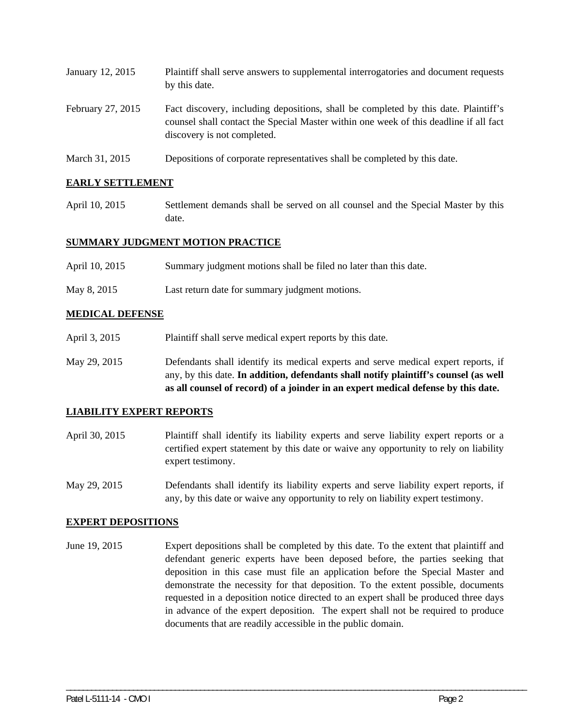| January 12, 2015  | Plaintiff shall serve answers to supplemental interrogatories and document requests<br>by this date.                                                                                                        |
|-------------------|-------------------------------------------------------------------------------------------------------------------------------------------------------------------------------------------------------------|
| February 27, 2015 | Fact discovery, including depositions, shall be completed by this date. Plaintiff's<br>counsel shall contact the Special Master within one week of this deadline if all fact<br>discovery is not completed. |

March 31, 2015 Depositions of corporate representatives shall be completed by this date.

## **EARLY SETTLEMENT**

April 10, 2015 Settlement demands shall be served on all counsel and the Special Master by this date.

## **SUMMARY JUDGMENT MOTION PRACTICE**

- April 10, 2015 Summary judgment motions shall be filed no later than this date.
- May 8, 2015 Last return date for summary judgment motions.

## **MEDICAL DEFENSE**

- April 3, 2015 Plaintiff shall serve medical expert reports by this date.
- May 29, 2015 Defendants shall identify its medical experts and serve medical expert reports, if any, by this date. **In addition, defendants shall notify plaintiff's counsel (as well as all counsel of record) of a joinder in an expert medical defense by this date.**

#### **LIABILITY EXPERT REPORTS**

- April 30, 2015 Plaintiff shall identify its liability experts and serve liability expert reports or a certified expert statement by this date or waive any opportunity to rely on liability expert testimony.
- May 29, 2015 Defendants shall identify its liability experts and serve liability expert reports, if any, by this date or waive any opportunity to rely on liability expert testimony.

#### **EXPERT DEPOSITIONS**

June 19, 2015 Expert depositions shall be completed by this date. To the extent that plaintiff and defendant generic experts have been deposed before, the parties seeking that deposition in this case must file an application before the Special Master and demonstrate the necessity for that deposition. To the extent possible, documents requested in a deposition notice directed to an expert shall be produced three days in advance of the expert deposition. The expert shall not be required to produce documents that are readily accessible in the public domain.

\_\_\_\_\_\_\_\_\_\_\_\_\_\_\_\_\_\_\_\_\_\_\_\_\_\_\_\_\_\_\_\_\_\_\_\_\_\_\_\_\_\_\_\_\_\_\_\_\_\_\_\_\_\_\_\_\_\_\_\_\_\_\_\_\_\_\_\_\_\_\_\_\_\_\_\_\_\_\_\_\_\_\_\_\_\_\_\_\_\_\_\_\_\_\_\_\_\_\_\_\_\_\_\_\_\_\_\_\_\_